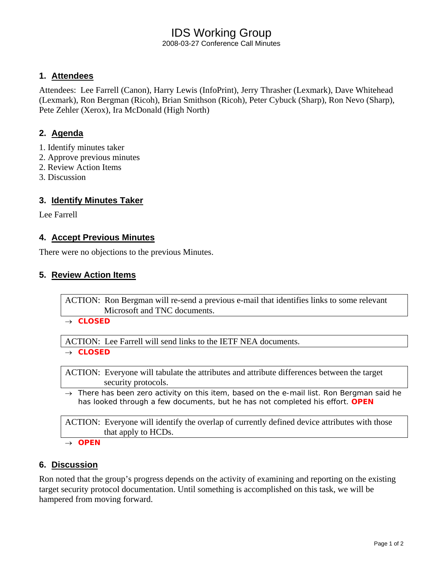# IDS Working Group

2008-03-27 Conference Call Minutes

## **1. Attendees**

Attendees: Lee Farrell (Canon), Harry Lewis (InfoPrint), Jerry Thrasher (Lexmark), Dave Whitehead (Lexmark), Ron Bergman (Ricoh), Brian Smithson (Ricoh), Peter Cybuck (Sharp), Ron Nevo (Sharp), Pete Zehler (Xerox), Ira McDonald (High North)

## **2. Agenda**

- 1. Identify minutes taker
- 2. Approve previous minutes
- 2. Review Action Items
- 3. Discussion

## **3. Identify Minutes Taker**

Lee Farrell

## **4. Accept Previous Minutes**

There were no objections to the previous Minutes.

## **5. Review Action Items**

ACTION: Ron Bergman will re-send a previous e-mail that identifies links to some relevant Microsoft and TNC documents.

#### → *CLOSED*

ACTION: Lee Farrell will send links to the IETF NEA documents.

#### → *CLOSED*

ACTION: Everyone will tabulate the attributes and attribute differences between the target security protocols.

→ *There has been zero activity on this item, based on the e-mail list. Ron Bergman said he has looked through a few documents, but he has not completed his effort. OPEN* 

ACTION: Everyone will identify the overlap of currently defined device attributes with those that apply to HCDs.

→ *OPEN* 

## **6. Discussion**

Ron noted that the group's progress depends on the activity of examining and reporting on the existing target security protocol documentation. Until something is accomplished on this task, we will be hampered from moving forward.